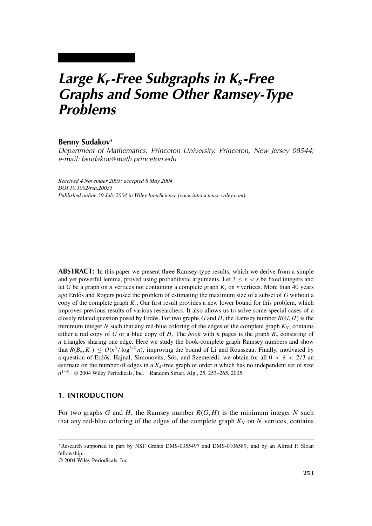# *Large Kr-Free Subgraphs in Ks-Free Graphs and Some Other Ramsey-Type Problems*

### **Benny Sudakov<sup>∗</sup>**

*Department of Mathematics, Princeton University, Princeton, New Jersey 08544; e-mail: bsudakov@math.princeton.edu*

*Received 4 November 2003; accepted 8 May 2004 DOI 10.1002/rsa.20035 Published online 30 July 2004 in Wiley InterScience (www.interscience.wiley.com).*

**ABSTRACT:** In this paper we present three Ramsey-type results, which we derive from a simple and yet powerful lemma, proved using probabilistic arguments. Let  $3 \le r < s$  be fixed integers and let *G* be a graph on *n* vertices not containing a complete graph  $K_s$  on *s* vertices. More than 40 years ago Erdős and Rogers posed the problem of estimating the maximum size of a subset of G without a copy of the complete graph *Kr*. Our first result provides a new lower bound for this problem, which improves previous results of various researchers. It also allows us to solve some special cases of a closely related question posed by Erdős. For two graphs  $G$  and  $H$ , the Ramsey number  $R(G, H)$  is the minimum integer *N* such that any red-blue coloring of the edges of the complete graph  $K_N$ , contains either a red copy of *G* or a blue copy of *H*. The *book* with *n* pages is the graph  $B_n$  consisting of *n* triangles sharing one edge. Here we study the book-complete graph Ramsey numbers and show that  $R(B_n, K_n) \leq O(n^3/\log^{3/2} n)$ , improving the bound of Li and Rousseau. Finally, motivated by a question of Erdős, Hajnal, Simonovits, Sós, and Szemerédi, we obtain for all  $0 < \delta < 2/3$  and estimate on the number of edges in a  $K_4$ -free graph of order *n* which has no independent set of size *n*<sup>1−δ</sup>. © 2004 Wiley Periodicals, Inc. Random Struct. Alg., 25, 253–265, 2005

# **1. INTRODUCTION**

For two graphs *G* and *H*, the Ramsey number *R*(*G*, *H*) is the minimum integer *N* such that any red-blue coloring of the edges of the complete graph  $K_N$  on  $N$  vertices, contains

<sup>∗</sup>Research supported in part by NSF Grants DMS-0355497 and DMS-0106589, and by an Alfred P. Sloan fellowship.

<sup>© 2004</sup> Wiley Periodicals, Inc.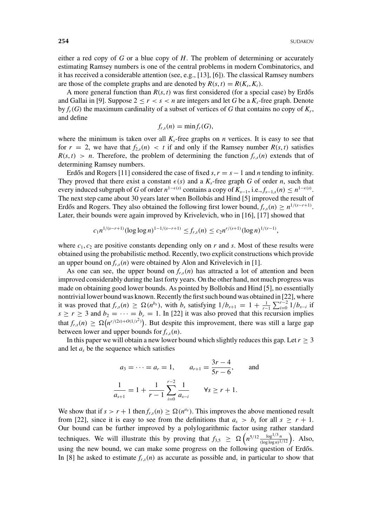either a red copy of *G* or a blue copy of *H*. The problem of determining or accurately estimating Ramsey numbers is one of the central problems in modern Combinatorics, and it has received a considerable attention (see, e.g., [13], [6]). The classical Ramsey numbers are those of the complete graphs and are denoted by  $R(s, t) = R(K_s, K_t)$ .

A more general function than  $R(s, t)$  was first considered (for a special case) by Erdős and Gallai in [9]. Suppose  $2 \le r < s < n$  are integers and let G be a  $K_s$ -free graph. Denote by  $f_r(G)$  the maximum cardinality of a subset of vertices of G that contains no copy of  $K_r$ , and define

$$
f_{r,s}(n)=\min f_r(G),
$$

where the minimum is taken over all  $K_s$ -free graphs on *n* vertices. It is easy to see that for  $r = 2$ , we have that  $f_{2s}(n) < t$  if and only if the Ramsey number  $R(s, t)$  satisfies  $R(s, t) > n$ . Therefore, the problem of determining the function  $f_{r,s}(n)$  extends that of determining Ramsey numbers.

Erdős and Rogers [11] considered the case of fixed  $s, r = s - 1$  and *n* tending to infinity. They proved that there exist a constant  $\epsilon(s)$  and a  $K_s$ -free graph *G* of order *n*, such that every induced subgraph of *G* of order  $n^{1-\epsilon(s)}$  contains a copy of  $K_{s-1}$ , i.e.,  $f_{s-1,s}(n) \leq n^{1-\epsilon(s)}$ . The next step came about 30 years later when Bollobás and Hind [5] improved the result of Erdős and Rogers. They also obtained the following first lower bound,  $f_{r,s}(n) \ge n^{1/(s-r+1)}$ . Later, their bounds were again improved by Krivelevich, who in [16], [17] showed that

$$
c_1 n^{1/(s-r+1)} (\log \log n)^{1-1/(s-r+1)} \leq f_{r,s}(n) \leq c_2 n^{r/(s+1)} (\log n)^{1/(r-1)},
$$

where  $c_1, c_2$  are positive constants depending only on  $r$  and  $s$ . Most of these results were obtained using the probabilistic method. Recently, two explicit constructions which provide an upper bound on  $f_{rs}(n)$  were obtained by Alon and Krivelevich in [1].

As one can see, the upper bound on  $f_{r,s}(n)$  has attracted a lot of attention and been improved considerably during the last forty years. On the other hand, not much progress was made on obtaining good lower bounds. As pointed by Bollobás and Hind [5], no essentially nontrivial lower bound was known. Recently the first such bound was obtained in [22], where it was proved that  $f_{r,s}(n) \ge \Omega(n^{b_s})$ , with  $b_s$  satisfying  $1/b_{s+1} = 1 + \frac{1}{r-1} \sum_{i=0}^{r-2} 1/b_{s-i}$  if *r* was proved that  $f_{r,s}(n) \leq 3a(n)$ , which  $v_s$  satisfying  $f_{r,s+1} = 1 + \sum_{r=1}^{r-1} \sum_{i=0}^{r-1} 1 + \sum_{r=1}^{r-1} \sum_{i=0}^{r-1} 1$ . In [22] it was also proved that this recursion implies that  $f_{r,s}(n) \geq \Omega(n^{r/(2s)+O(1/s^2)})$ . But despite this improvement, there was still a large gap between lower and upper bounds for  $f_{r,s}(n)$ .

In this paper we will obtain a new lower bound which slightly reduces this gap. Let  $r \geq 3$ and let  $a<sub>s</sub>$  be the sequence which satisfies

$$
a_3 = \dots = a_r = 1,
$$
  $a_{r+1} = \frac{3r - 4}{5r - 6},$  and  

$$
\frac{1}{a_{s+1}} = 1 + \frac{1}{r-1} \sum_{i=0}^{r-2} \frac{1}{a_{s-i}} \quad \forall s \ge r + 1.
$$

We show that if  $s > r + 1$  then  $f_{r,s}(n) \ge \Omega(n^{a_s})$ . This improves the above mentioned result from [22], since it is easy to see from the definitions that  $a_s > b_s$  for all  $s \ge r + 1$ . Our bound can be further improved by a polylogarithmic factor using rather standard techniques. We will illustrate this by proving that  $f_{3,5} \ge \Omega\left(n^{5/12} \frac{\log^{1/3} n}{(\log \log n)^{1/12}}\right)$ . Also, using the new bound, we can make some progress on the following question of Erdős. In [8] he asked to estimate  $f_{r,s}(n)$  as accurate as possible and, in particular to show that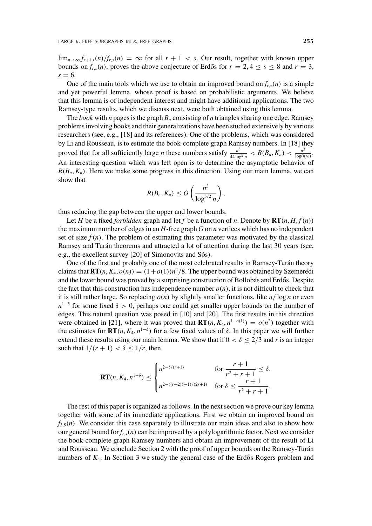$\lim_{n\to\infty} f_{r+1,s}(n)/f_{r,s}(n) = \infty$  for all  $r+1 < s$ . Our result, together with known upper bounds on  $f_{r,s}(n)$ , proves the above conjecture of Erdős for  $r = 2, 4 \le s \le 8$  and  $r = 3$ ,  $s = 6$ .

One of the main tools which we use to obtain an improved bound on  $f_{rs}(n)$  is a simple and yet powerful lemma, whose proof is based on probabilistic arguments. We believe that this lemma is of independent interest and might have additional applications. The two Ramsey-type results, which we discuss next, were both obtained using this lemma.

The *book* with *n* pages is the graph  $B_n$  consisting of *n* triangles sharing one edge. Ramsey problems involving books and their generalizations have been studied extensively by various researchers (see, e.g., [18] and its references). One of the problems, which was considered by Li and Rousseau, is to estimate the book-complete graph Ramsey numbers. In [18] they proved that for all sufficiently large *n* these numbers satisfy  $\frac{n^3}{44 \log^2 n}$  <  $R(B_n, K_n)$  <  $\frac{n^3}{\log(n/e)}$ . An interesting question which was left open is to determine the asymptotic behavior of  $R(B_n, K_n)$ . Here we make some progress in this direction. Using our main lemma, we can show that

$$
R(B_n, K_n) \leq O\left(\frac{n^3}{\log^{3/2} n}\right),\,
$$

thus reducing the gap between the upper and lower bounds.

Let *H* be a fixed *forbidden* graph and let *f* be a function of *n*. Denote by  $\mathbf{RT}(n, H, f(n))$ the maximum number of edges in an *H*-free graph *G* on *n* vertices which has no independent set of size  $f(n)$ . The problem of estimating this parameter was motivated by the classical Ramsey and Turán theorems and attracted a lot of attention during the last 30 years (see, e.g., the excellent survey [20] of Simonovits and Sós).

One of the first and probably one of the most celebrated results in Ramsey-Turán theory claims that  $\mathbf{RT}(n, K_4, o(n)) = (1+o(1))n^2/8$ . The upper bound was obtained by Szemerédi and the lower bound was proved by a surprising construction of Bollobás and Erdős. Despite the fact that this construction has independence number  $o(n)$ , it is not difficult to check that it is still rather large. So replacing  $o(n)$  by slightly smaller functions, like  $n/\log n$  or even  $n^{1-\delta}$  for some fixed  $\delta > 0$ , perhaps one could get smaller upper bounds on the number of edges. This natural question was posed in [10] and [20]. The first results in this direction were obtained in [21], where it was proved that  $\mathbf{RT}(n, K_4, n^{1-o(1)}) = o(n^2)$  together with the estimates for  $\mathbf{RT}(n, K_4, n^{1-\delta})$  for a few fixed values of  $\delta$ . In this paper we will further extend these results using our main lemma. We show that if  $0 < \delta \leq 2/3$  and *r* is an integer such that  $1/(r + 1) < \delta \leq 1/r$ , then

$$
\mathbf{RT}(n, K_4, n^{1-\delta}) \le \begin{cases} n^{2-\delta/(r+1)} & \text{for } \frac{r+1}{r^2+r+1} \le \delta, \\ n^{2-(r+2)\delta-1)/(2r+1)} & \text{for } \delta \le \frac{r+1}{r^2+r+1}. \end{cases}
$$

The rest of this paper is organized as follows. In the next section we prove our key lemma together with some of its immediate applications. First we obtain an improved bound on  $f_{3,5}(n)$ . We consider this case separately to illustrate our main ideas and also to show how our general bound for *fr*,*<sup>s</sup>*(*n*) can be improved by a polylogarithmic factor. Next we consider the book-complete graph Ramsey numbers and obtain an improvement of the result of Li and Rousseau. We conclude Section 2 with the proof of upper bounds on the Ramsey-Turán numbers of  $K_4$ . In Section 3 we study the general case of the Erdős-Rogers problem and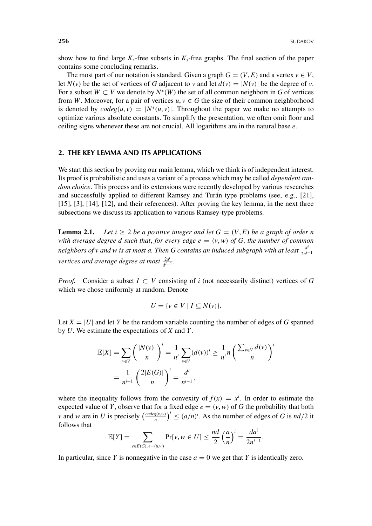show how to find large  $K_r$ -free subsets in  $K_s$ -free graphs. The final section of the paper contains some concluding remarks.

The most part of our notation is standard. Given a graph  $G = (V, E)$  and a vertex  $v \in V$ , let  $N(v)$  be the set of vertices of *G* adjacent to *v* and let  $d(v) = |N(v)|$  be the degree of *v*. For a subset  $W \subset V$  we denote by  $N^*(W)$  the set of all common neighbors in G of vertices from *W*. Moreover, for a pair of vertices  $u, v \in G$  the size of their common neighborhood is denoted by  $codeg(u, v) = |N^*(u, v)|$ . Throughout the paper we make no attempts to optimize various absolute constants. To simplify the presentation, we often omit floor and ceiling signs whenever these are not crucial. All logarithms are in the natural base *e*.

#### **2. THE KEY LEMMA AND ITS APPLICATIONS**

We start this section by proving our main lemma, which we think is of independent interest. Its proof is probabilistic and uses a variant of a process which may be called *dependent random choice*. This process and its extensions were recently developed by various researches and successfully applied to different Ramsey and Turán type problems (see, e.g., [21], [15], [3], [14], [12], and their references). After proving the key lemma, in the next three subsections we discuss its application to various Ramsey-type problems.

**Lemma 2.1.** Let  $i \geq 2$  be a positive integer and let  $G = (V, E)$  be a graph of order n *with average degree d such that, for every edge*  $e = (v, w)$  *of G, the number of common neighbors of v and w is at most a. Then G contains an induced subgraph with at least*  $\frac{d^i}{2n^{i-1}}$ *vertices and average degree at most*  $\frac{2a^i}{d^{i-1}}$ *.* 

*Proof.* Consider a subset  $I \subset V$  consisting of *i* (not necessarily distinct) vertices of *G* which we chose uniformly at random. Denote

$$
U = \{ v \in V \mid I \subseteq N(v) \}.
$$

Let  $X = |U|$  and let *Y* be the random variable counting the number of edges of *G* spanned by *U*. We estimate the expectations of *X* and *Y*.

$$
\mathbb{E}[X] = \sum_{v \in V} \left( \frac{|N(v)|}{n} \right)^i = \frac{1}{n^i} \sum_{v \in V} (d(v))^i \ge \frac{1}{n^i} n \left( \frac{\sum_{v \in V} d(v)}{n} \right)^i
$$

$$
= \frac{1}{n^{i-1}} \left( \frac{2|E(G)|}{n} \right)^i = \frac{d^i}{n^{i-1}},
$$

where the inequality follows from the convexity of  $f(x) = x^i$ . In order to estimate the expected value of *Y*, observe that for a fixed edge  $e = (v, w)$  of *G* the probability that both *v* and *w* are in *U* is precisely  $\left(\frac{codeg(v,w)}{n}\right)^i \leq (a/n)^i$ . As the number of edges of *G* is  $nd/2$  it follows that

$$
\mathbb{E}[Y] = \sum_{e \in E(G), e = (u,w)} \Pr[v, w \in U] \le \frac{nd}{2} \left(\frac{a}{n}\right)^i = \frac{da^i}{2n^{i-1}}.
$$

In particular, since *Y* is nonnegative in the case  $a = 0$  we get that *Y* is identically zero.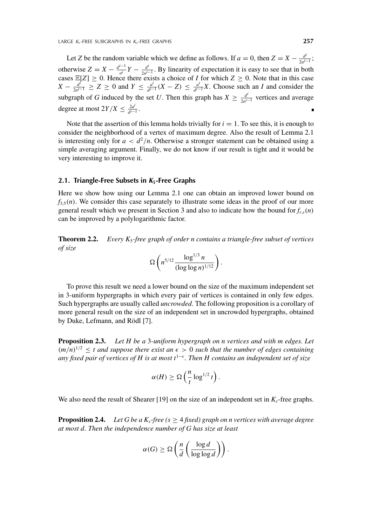Let *Z* be the random variable which we define as follows. If  $a = 0$ , then  $Z = X - \frac{d^i}{2n^i-1}$ ; otherwise  $Z = X - \frac{d^{i-1}}{a^i}Y - \frac{d^i}{2n^{i-1}}$ . By linearity of expectation it is easy to see that in both cases  $\mathbb{E}[Z] \geq 0$ . Hence there exists a choice of *I* for which  $Z \geq 0$ . Note that in this case *X* −  $\frac{d^f}{2n^{i-1}}$  ≥ *Z* ≥ 0 and *Y* ≤  $\frac{d^i}{d^{i-1}}$  (*X* − *Z*) ≤  $\frac{d^i}{d^{i-1}}$  *X*. Choose such an *I* and consider the subgraph of *G* induced by the set *U*. Then this graph has  $X \geq \frac{d^i}{2n^{i-1}}$  vertices and average degree at most  $2Y/X \leq \frac{2a^i}{d^{i-1}}$ .

Note that the assertion of this lemma holds trivially for  $i = 1$ . To see this, it is enough to consider the neighborhood of a vertex of maximum degree. Also the result of Lemma 2.1 is interesting only for  $a < d^2/n$ . Otherwise a stronger statement can be obtained using a simple averaging argument. Finally, we do not know if our result is tight and it would be very interesting to improve it.

#### **2.1. Triangle-Free Subsets in** *K***5-Free Graphs**

Here we show how using our Lemma 2.1 one can obtain an improved lower bound on  $f_{3,5}(n)$ . We consider this case separately to illustrate some ideas in the proof of our more general result which we present in Section 3 and also to indicate how the bound for  $f_{r,s}(n)$ can be improved by a polylogarithmic factor.

**Theorem 2.2.** *Every K*5*-free graph of order n contains a triangle-free subset of vertices of size*

$$
\Omega\left(n^{5/12}\frac{\log^{1/3}n}{(\log\log n)^{1/12}}\right).
$$

To prove this result we need a lower bound on the size of the maximum independent set in 3-uniform hypergraphs in which every pair of vertices is contained in only few edges. Such hypergraphs are usually called *uncrowded*. The following proposition is a corollary of more general result on the size of an independent set in uncrowded hypergraphs, obtained by Duke, Lefmann, and Rödl [7].

**Proposition 2.3.** *Let H be a* 3*-uniform hypergraph on n vertices and with m edges. Let*  $(m/n)^{1/2} \leq t$  and suppose there exist an  $\epsilon > 0$  such that the number of edges containing *any fixed pair of vertices of H is at most t*<sup>1− $\epsilon$ </sup>. Then H contains an independent set of size

$$
\alpha(H) \geq \Omega\left(\frac{n}{t} \log^{1/2} t\right).
$$

We also need the result of Shearer [19] on the size of an independent set in  $K_s$ -free graphs.

**Proposition 2.4.** *Let G be a K<sub>s</sub>-free (s*  $\geq$  *4 fixed) graph on n vertices with average degree at most d. Then the independence number of G has size at least*

$$
\alpha(G) \geq \Omega\left(\frac{n}{d} \left(\frac{\log d}{\log \log d}\right)\right).
$$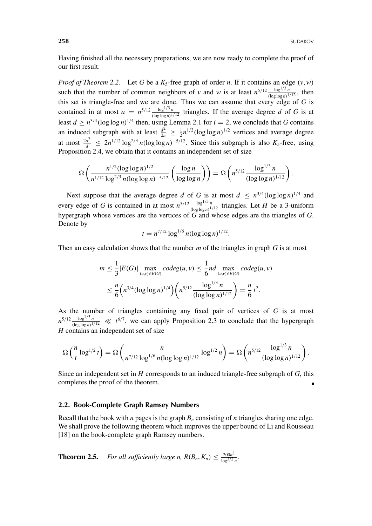Having finished all the necessary preparations, we are now ready to complete the proof of our first result.

*Proof of Theorem 2.2.* Let *G* be a  $K_5$ -free graph of order *n*. If it contains an edge  $(v, w)$ such that the number of common neighbors of *v* and *w* is at least  $n^{5/12} \frac{\log^{1/3} n}{(\log \log n)^{1/12}}$ , then this set is triangle-free and we are done. Thus we can assume that every edge of  $G$  is contained in at most  $a = n^{5/12} \frac{\log^{1/3} n}{(\log \log n)^{1/12}}$  triangles. If the average degree *d* of *G* is at least  $d \ge n^{3/4} (\log \log n)^{1/4}$  then, using Lemma 2.1 for  $i = 2$ , we conclude that *G* contains an induced subgraph with at least  $\frac{d^2}{2n} \geq \frac{1}{2} n^{1/2} (\log \log n)^{1/2}$  vertices and average degree at most  $\frac{2a^2}{d} \leq 2n^{1/12} \log^{2/3} n(\log \log n)^{-5/12}$ . Since this subgraph is also  $K_5$ -free, using Proposition 2.4, we obtain that it contains an independent set of size

$$
\Omega\left(\frac{n^{1/2}(\log\log n)^{1/2}}{n^{1/12}\log^{2/3} n(\log\log n)^{-5/12}}\left(\frac{\log n}{\log\log n}\right)\right) = \Omega\left(n^{5/12}\frac{\log^{1/3} n}{(\log\log n)^{1/12}}\right).
$$

Next suppose that the average degree *d* of *G* is at most  $d \leq n^{3/4} (\log \log n)^{1/4}$  and every edge of *G* is contained in at most  $n^{5/12} \frac{\log^{1/3} n}{(\log \log n)^{1/12}}$  triangles. Let *H* be a 3-uniform hypergraph whose vertices are the vertices of  $\dddot{G}$  and whose edges are the triangles of  $G$ . Denote by

$$
t = n^{7/12} \log^{1/6} n(\log \log n)^{1/12}.
$$

Then an easy calculation shows that the number *m* of the triangles in graph *G* is at most

$$
m \leq \frac{1}{3} |E(G)| \max_{(u,v)\in E(G)} codeg(u,v) \leq \frac{1}{6} nd \max_{(u,v)\in E(G)} codeg(u,v)
$$
  

$$
\leq \frac{n}{6} \Big( n^{3/4} (\log \log n)^{1/4} \Big) \Big( n^{5/12} \frac{\log^{1/3} n}{(\log \log n)^{1/12}} \Big) = \frac{n}{6} t^2.
$$

As the number of triangles containing any fixed pair of vertices of *G* is at most  $n^{5/12} \frac{\log^{1/3} n}{(\log \log n)^{1/12}} \ll t^{6/7}$ , we can apply Proposition 2.3 to conclude that the hypergraph *H* contains an independent set of size

$$
\Omega\left(\frac{n}{t}\log^{1/2}t\right) = \Omega\left(\frac{n}{n^{7/12}\log^{1/6}n(\log\log n)^{1/12}}\log^{1/2}n\right) = \Omega\left(n^{5/12}\frac{\log^{1/3}n}{(\log\log n)^{1/12}}\right).
$$

Since an independent set in *H* corresponds to an induced triangle-free subgraph of *G*, this completes the proof of the theorem.

#### **2.2. Book-Complete Graph Ramsey Numbers**

Recall that the book with *n* pages is the graph  $B_n$  consisting of *n* triangles sharing one edge. We shall prove the following theorem which improves the upper bound of Li and Rousseau [18] on the book-complete graph Ramsey numbers.

**Theorem 2.5.** *For all sufficiently large n,*  $R(B_n, K_n) \leq \frac{200n^3}{\log^{3/2} n}$ .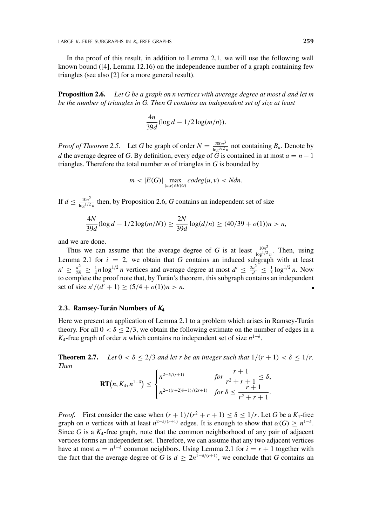In the proof of this result, in addition to Lemma 2.1, we will use the following well known bound  $(14)$ , Lemma 12.16) on the independence number of a graph containing few triangles (see also [2] for a more general result).

**Proposition 2.6.** *Let G be a graph on n vertices with average degree at most d and let m be the number of triangles in G. Then G contains an independent set of size at least*

$$
\frac{4n}{39d}(\log d - 1/2\log(m/n)).
$$

*Proof of Theorem 2.5.* Let *G* be graph of order  $N = \frac{200n^3}{\log^{3/2} n}$  not containing  $B_n$ . Denote by *d* the average degree of *G*. By definition, every edge of  $\tilde{G}$  is contained in at most  $a = n - 1$ triangles. Therefore the total number *m* of triangles in *G* is bounded by

$$
m < |E(G)| \max_{(u,v) \in E(G)} codeg(u,v) < Ndn.
$$

If  $d \leq \frac{10n^2}{\log^{1/2} n}$  then, by Proposition 2.6, *G* contains an independent set of size

$$
\frac{4N}{39d}(\log d - 1/2 \log(m/N)) \ge \frac{2N}{39d} \log(d/n) \ge (40/39 + o(1))n > n,
$$

and we are done.

Thus we can assume that the average degree of *G* is at least  $\frac{10n^2}{\log^{1/2} n}$ . Then, using Lemma 2.1 for  $i = 2$ , we obtain that *G* contains an induced subgraph with at least  $n' \ge \frac{d^2}{2N} \ge \frac{1}{4}n \log^{1/2} n$  vertices and average degree at most  $d' \le \frac{2a^2}{d} \le \frac{1}{5} \log^{1/2} n$ . Now to complete the proof note that, by Turán's theorem, this subgraph contains an independent set of size  $n'/(d'+1) \ge (5/4 + o(1))n > n$ .

#### **2.3. Ramsey-Turán Numbers of** *K***<sup>4</sup>**

Here we present an application of Lemma 2.1 to a problem which arises in Ramsey-Turán theory. For all  $0 < \delta \leq 2/3$ , we obtain the following estimate on the number of edges in a *K*<sub>4</sub>-free graph of order *n* which contains no independent set of size  $n^{1-\delta}$ .

**Theorem 2.7.** *Let*  $0 < \delta \le 2/3$  *and let r be an integer such that*  $1/(r + 1) < \delta \le 1/r$ . *Then*

$$
\mathbf{RT}\big(n, K_4, n^{1-\delta}\big) \leq \begin{cases} n^{2-\delta/(r+1)} & \text{for } \frac{r+1}{r^2+r+1} \leq \delta, \\ n^{2-(r+2)\delta-1)/(2r+1)} & \text{for } \delta \leq \frac{r+1}{r^2+r+1}. \end{cases}
$$

*Proof.* First consider the case when  $(r + 1)/(r^2 + r + 1) \le \delta \le 1/r$ . Let *G* be a *K*<sub>4</sub>-free graph on *n* vertices with at least  $n^{2-\delta/(r+1)}$  edges. It is enough to show that  $\alpha(G) \geq n^{1-\delta}$ . Since  $G$  is a  $K_4$ -free graph, note that the common neighborhood of any pair of adjacent vertices forms an independent set. Therefore, we can assume that any two adjacent vertices have at most  $a = n^{1-\delta}$  common neighbors. Using Lemma 2.1 for  $i = r + 1$  together with the fact that the average degree of *G* is  $d \geq 2n^{1-\delta/(r+1)}$ , we conclude that *G* contains an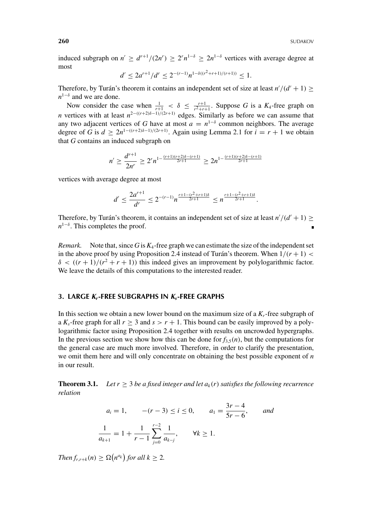induced subgraph on  $n' \geq d^{r+1}/(2n') \geq 2^r n^{1-\delta} \geq 2n^{1-\delta}$  vertices with average degree at most

$$
d' \le 2a^{r+1}/d^r \le 2^{-(r-1)}n^{1-\delta((r^2+r+1)/(r+1))} \le 1.
$$

Therefore, by Turán's theorem it contains an independent set of size at least  $n'/(d'+1) \ge$ *n*<sup>1−δ</sup> and we are done.

Now consider the case when  $\frac{1}{r+1} < \delta \leq \frac{r+1}{r^2+r+1}$ . Suppose *G* is a  $K_4$ -free graph on *n* vertices with at least  $n^{2-(r+2)\delta-1)/(2r+1)}$  edges. Similarly as before we can assume that any two adjacent vertices of *G* have at most  $a = n^{1-\delta}$  common neighbors. The average degree of *G* is  $d \ge 2n^{1-(r+2)\delta-1)/(2r+1)}$ . Again using Lemma 2.1 for  $i = r + 1$  we obtain that *G* contains an induced subgraph on

$$
n' \ge \frac{d^{r+1}}{2n^r} \ge 2^r n^{1-\frac{(r+1)(r+2)\delta-(r+1)}{2r+1}} \ge 2n^{1-\frac{(r+1)(r+2)\delta-(r+1)}{2r+1}}
$$

vertices with average degree at most

$$
d' \le \frac{2a^{r+1}}{d^r} \le 2^{-(r-1)} n^{\frac{r+1-(r^2+r+1)\delta}{2r+1}} \le n^{\frac{r+1-(r^2+r+1)\delta}{2r+1}}.
$$

Therefore, by Turán's theorem, it contains an independent set of size at least  $n'/(d'+1) \ge$ *n*<sup>1−δ</sup>. This completes the proof.

*Remark.* Note that, since  $G$  is  $K_4$ -free graph we can estimate the size of the independent set in the above proof by using Proposition 2.4 instead of Turán's theorem. When  $1/(r+1)$  <  $\delta < ((r+1)/(r^2+r+1))$  this indeed gives an improvement by polylogarithmic factor. We leave the details of this computations to the interested reader.

#### **3. LARGE** *Kr***-FREE SUBGRAPHS IN** *Ks***-FREE GRAPHS**

In this section we obtain a new lower bound on the maximum size of a *Kr*-free subgraph of a  $K_s$ -free graph for all  $r > 3$  and  $s > r + 1$ . This bound can be easily improved by a polylogarithmic factor using Proposition 2.4 together with results on uncrowded hypergraphs. In the previous section we show how this can be done for  $f_{3,5}(n)$ , but the computations for the general case are much more involved. Therefore, in order to clarify the presentation, we omit them here and will only concentrate on obtaining the best possible exponent of *n* in our result.

**Theorem 3.1.** *Let*  $r \ge 3$  *be a fixed integer and let*  $a_k(r)$  *satisfies the following recurrence relation*

$$
a_i = 1,
$$
  $-(r-3) \le i \le 0,$   $a_1 = \frac{3r-4}{5r-6},$  and  

$$
\frac{1}{a_{k+1}} = 1 + \frac{1}{r-1} \sum_{j=0}^{r-2} \frac{1}{a_{k-j}}, \quad \forall k \ge 1.
$$

*Then*  $f_{r,r+k}(n) \geq \Omega(n^{a_k})$  for all  $k \geq 2$ *.*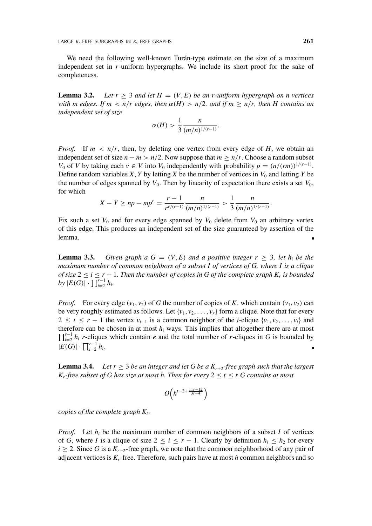We need the following well-known Turán-type estimate on the size of a maximum independent set in *r*-uniform hypergraphs. We include its short proof for the sake of completeness.

**Lemma 3.2.** *Let*  $r \geq 3$  *and let*  $H = (V, E)$  *be an r-uniform hypergraph on n vertices with m edges. If m < n/r edges, then*  $\alpha(H) > n/2$ , and if  $m \ge n/r$ , then H contains an *independent set of size*

$$
\alpha(H) > \frac{1}{3} \frac{n}{(m/n)^{1/(r-1)}}.
$$

*Proof.* If  $m < n/r$ , then, by deleting one vertex from every edge of *H*, we obtain an independent set of size  $n - m > n/2$ . Now suppose that  $m \ge n/r$ . Choose a random subset *V*<sub>0</sub> of *V* by taking each  $v \in V$  into *V*<sub>0</sub> independently with probability  $p = (n/(rm))^{1/(r-1)}$ . Define random variables *X*, *Y* by letting *X* be the number of vertices in  $V_0$  and letting *Y* be the number of edges spanned by  $V_0$ . Then by linearity of expectation there exists a set  $V_0$ , for which

$$
X - Y \ge np - mp^{r} = \frac{r - 1}{r^{r/(r-1)}} \frac{n}{(m/n)^{1/(r-1)}} > \frac{1}{3} \frac{n}{(m/n)^{1/(r-1)}}.
$$

Fix such a set  $V_0$  and for every edge spanned by  $V_0$  delete from  $V_0$  an arbitrary vertex of this edge. This produces an independent set of the size guaranteed by assertion of the lemma.

**Lemma 3.3.** *Given graph a G* =  $(V, E)$  *and a positive integer*  $r \geq 3$ *, let h<sub>i</sub> be the maximum number of common neighbors of a subset I of vertices of G, where I is a clique of size*  $2 \le i \le r - 1$ *. Then the number of copies in G of the complete graph K<sub>r</sub> is bounded by*  $|E(G)| \cdot \prod_{i=2}^{r-1} h_i$ .

*Proof.* For every edge  $(v_1, v_2)$  of *G* the number of copies of  $K_r$  which contain  $(v_1, v_2)$  can be very roughly estimated as follows. Let  $\{v_1, v_2, \ldots, v_r\}$  form a clique. Note that for every  $2 \leq i \leq r - 1$  the vertex  $v_{i+1}$  is a common neighbor of the *i*-clique  $\{v_1, v_2, \ldots, v_i\}$  and  $\prod_{i=2}^{r-1} h_i$  *r*-cliques which contain *e* and the total number of *r*-cliques in *G* is bounded by therefore can be chosen in at most  $h_i$  ways. This implies that altogether there are at most  $|E(G)| \cdot \prod_{i=2}^{r-1} h_i.$ 

**Lemma 3.4.** *Let*  $r \geq 3$  *be an integer and let G be a*  $K_{r+2}$ *-free graph such that the largest K<sub>r</sub>*-free subset of G has size at most h. Then for every  $2 \le t \le r$  G contains at most

$$
O\left(h^{t-2+\frac{11r-12}{3r-4}}\right)
$$

*copies of the complete graph*  $K_t$ .

*Proof.* Let  $h_i$  be the maximum number of common neighbors of a subset *I* of vertices of *G*, where *I* is a clique of size  $2 \le i \le r - 1$ . Clearly by definition  $h_i \le h_2$  for every  $i \ge 2$ . Since *G* is a  $K_{r+2}$ -free graph, we note that the common neighborhood of any pair of adjacent vertices is *Kr*-free. Therefore, such pairs have at most *h* common neighbors and so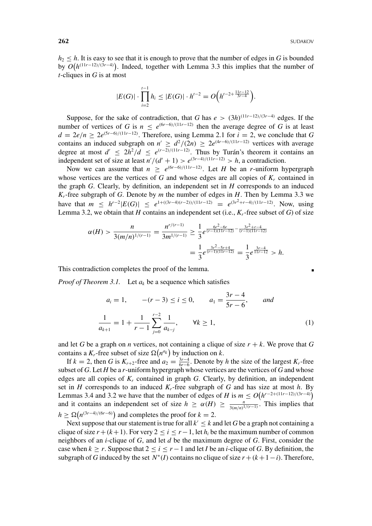$h_2 \leq h$ . It is easy to see that it is enough to prove that the number of edges in *G* is bounded by  $O(h^{(11r-12)/(3r-4)})$ . Indeed, together with Lemma 3.3 this implies that the number of *t*-cliques in *G* is at most

$$
|E(G)| \cdot \prod_{i=2}^{t-1} h_i \leq |E(G)| \cdot h^{t-2} = O\Big(h^{t-2+\frac{11r-12}{3r-4}}\Big).
$$

Suppose, for the sake of contradiction, that *G* has  $e > (3h)^{(11r-12)/(3r-4)}$  edges. If the number of vertices of *G* is *n* ≤  $e^{(6r-6)/(11r-12)}$  then the average degree of *G* is at least  $d = 2e/n \geq 2e^{(5r-6)/(11r-12)}$ . Therefore, using Lemma 2.1 for  $i = 2$ , we conclude that *G* contains an induced subgraph on  $n' \geq d^2/(2n) \geq 2e^{(4r-6)/(11r-12)}$  vertices with average degree at most  $d' \leq 2h^2/d \leq e^{(r-2)/(11r-12)}$ . Thus by Turán's theorem it contains an independent set of size at least  $n'/(d'+1) > e^{(3r-4)/(11r-12)} > h$ , a contradiction.

Now we can assume that  $n \geq e^{(6r-6)/(11r-12)}$ . Let *H* be an *r*-uniform hypergraph whose vertices are the vertices of  $G$  and whose edges are all copies of  $K_r$  contained in the graph *G*. Clearly, by definition, an independent set in *H* corresponds to an induced  $K_r$ -free subgraph of *G*. Denote by *m* the number of edges in *H*. Then by Lemma 3.3 we have that  $m \leq h^{r-2} |E(G)| \leq e^{1 + ((3r-4)(r-2))/(11r-12)} = e^{(3r^2+r-4)/(11r-12)}$ . Now, using Lemma 3.2, we obtain that *H* contains an independent set (i.e.,  $K_r$ -free subset of *G*) of size

$$
\alpha(H) > \frac{n}{3(m/n)^{1/(r-1)}} = \frac{n^{r/(r-1)}}{3m^{1/(r-1)}} \ge \frac{1}{3} e^{\frac{6r^2 - 6r}{(r-1)(11r-12)} - \frac{3r^2 + r - 4}{(r-1)(11r-12)}}
$$

$$
= \frac{1}{3} e^{\frac{3r^2 - 5r + 4}{(r-1)(11r-12)}} = \frac{1}{3} e^{\frac{3r - 4}{11r-12}} > h.
$$

This contradiction completes the proof of the lemma.

*Proof of Theorem 3.1.* Let  $a_k$  be a sequence which satisfies

$$
a_i = 1, \t -(r - 3) \le i \le 0, \t a_1 = \frac{3r - 4}{5r - 6}, \t and
$$
  

$$
\frac{1}{a_{k+1}} = 1 + \frac{1}{r - 1} \sum_{j=0}^{r-2} \frac{1}{a_{k-j}}, \t \forall k \ge 1,
$$
 (1)

and let *G* be a graph on *n* vertices, not containing a clique of size  $r + k$ . We prove that *G* contains a  $K_r$ -free subset of size  $\Omega(n^{a_k})$  by induction on *k*.

If  $k = 2$ , then *G* is  $K_{r+2}$ -free and  $a_2 = \frac{3r-4}{6r-6}$ . Denote by *h* the size of the largest  $K_r$ -free subset of *G*. Let *H* be a *r*-uniform hypergraph whose vertices are the vertices of *G* and whose edges are all copies of *Kr* contained in graph *G*. Clearly, by definition, an independent set in *H* corresponds to an induced  $K_r$ -free subgraph of *G* and has size at most *h*. By Lemmas 3.4 and 3.2 we have that the number of edges of *H* is  $m \leq O(h^{r-2+(11r-12)/(3r-4)})$ and it contains an independent set of size  $h \ge \alpha(H) \ge \frac{n}{3(m/n)^{1/(r-1)}}$ . This implies that  $h \geq \Omega(n^{(3r-4)/(6r-6)})$  and completes the proof for  $k = 2$ .

Next suppose that our statement is true for all  $k' \leq k$  and let G be a graph not containing a clique of size  $r + (k+1)$ . For very  $2 \le i \le r-1$ , let  $h_i$  be the maximum number of common neighbors of an *i*-clique of *G*, and let *d* be the maximum degree of *G*. First, consider the case when  $k \ge r$ . Suppose that  $2 \le i \le r - 1$  and let *I* be an *i*-clique of *G*. By definition, the subgraph of *G* induced by the set  $N^*(I)$  contains no clique of size  $r + (k+1-i)$ . Therefore,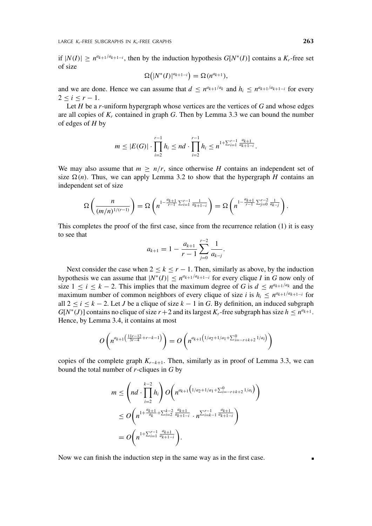if  $|N(I)| \ge n^{a_{k+1}/a_{k+1-i}}$ , then by the induction hypothesis  $G[N^*(I)]$  contains a  $K_{I}$ -free set of size

$$
\Omega\big(|N^*(I)|^{a_{k+1-i}}\big)=\Omega(n^{a_{k+1}}),
$$

and we are done. Hence we can assume that  $d \leq n^{a_{k+1}/a_k}$  and  $h_i \leq n^{a_{k+1}/a_{k+1}-i}$  for every  $2 \le i \le r - 1$ .

Let *H* be a *r*-uniform hypergraph whose vertices are the vertices of *G* and whose edges are all copies of  $K_r$  contained in graph  $G$ . Then by Lemma 3.3 we can bound the number of edges of *H* by

$$
m \leq |E(G)| \cdot \prod_{i=2}^{r-1} h_i \leq nd \cdot \prod_{i=2}^{r-1} h_i \leq n^{1+\sum_{i=1}^{r-1} \frac{a_{k+1}}{a_{k+1-i}}}.
$$

We may also assume that  $m \geq n/r$ , since otherwise *H* contains an independent set of size  $\Omega(n)$ . Thus, we can apply Lemma 3.2 to show that the hypergraph *H* contains an independent set of size

$$
\Omega\left(\frac{n}{(m/n)^{1/(r-1)}}\right) = \Omega\left(n^{1-\frac{a_{k+1}}{r-1}\sum_{i=1}^{r-1}\frac{1}{a_{k+1-i}}}\right) = \Omega\left(n^{1-\frac{a_{k+1}}{r-1}\sum_{j=0}^{r-2}\frac{1}{a_{k-j}}}\right).
$$

This completes the proof of the first case, since from the recurrence relation (1) it is easy to see that

$$
a_{k+1} = 1 - \frac{a_{k+1}}{r-1} \sum_{j=0}^{r-2} \frac{1}{a_{k-j}}.
$$

Next consider the case when  $2 \le k \le r - 1$ . Then, similarly as above, by the induction hypothesis we can assume that  $|N^*(I)| \leq n^{a_{k+1}/a_{k+1}-i}$  for every clique *I* in *G* now only of size  $1 \le i \le k - 2$ . This implies that the maximum degree of *G* is  $d \le n^{a_{k+1}/a_k}$  and the maximum number of common neighbors of every clique of size *i* is  $h_i \leq n^{a_{k+1}/a_{k+1-i}}$  for all  $2 \le i \le k - 2$ . Let *J* be a clique of size  $k - 1$  in *G*. By definition, an induced subgraph  $G[N^*(J)]$  contains no clique of size  $r+2$  and its largest  $K_r$ -free subgraph has size  $h \leq n^{a_{k+1}}$ . Hence, by Lemma 3.4, it contains at most

$$
O\left(n^{a_{k+1}\left(\frac{11r-12}{3r-4}+r-k-1\right)}\right)=O\left(n^{a_{k+1}\left(1/a_2+1/a_1+\sum_{i=-r+k+2}^{0}1/a_i\right)}\right)
$$

copies of the complete graph *Kr*−*k*+1. Then, similarly as in proof of Lemma 3.3, we can bound the total number of *r*-cliques in *G* by

$$
m \leq \left(nd \cdot \prod_{i=2}^{k-2} h_i\right) O\left(n^{a_{k+1}\left(1/a_2 + 1/a_1 + \sum_{i=-r+k+2}^{0} 1/a_i\right)}\right)
$$
  

$$
\leq O\left(n^{1 + \frac{a_{k+1}}{a_k} + \sum_{i=2}^{k-2} \frac{a_{k+1}}{a_{k+1-i}} \cdot n^{\sum_{i=k-1}^{r-1} \frac{a_{k+1}}{a_{k+1-i}}}\right)
$$
  

$$
= O\left(n^{1 + \sum_{i=1}^{r-1} \frac{a_{k+1}}{a_{k+1-i}}}\right).
$$

Now we can finish the induction step in the same way as in the first case.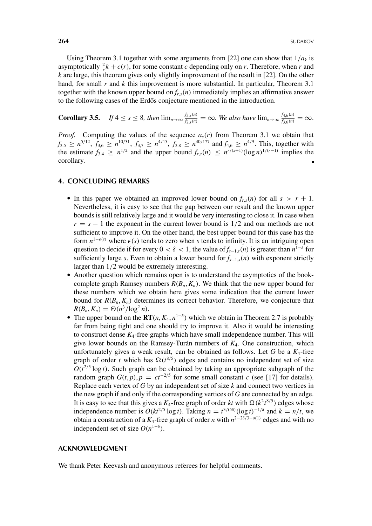Using Theorem 3.1 together with some arguments from [22] one can show that  $1/a_k$  is asymptotically  $\frac{2}{r}k + c(r)$ , for some constant *c* depending only on *r*. Therefore, when *r* and *k* are large, this theorem gives only slightly improvement of the result in [22]. On the other hand, for small *r* and *k* this improvement is more substantial. In particular, Theorem 3.1 together with the known upper bound on  $f_{r,s}(n)$  immediately implies an affirmative answer to the following cases of the Erdős conjecture mentioned in the introduction.

**Corollary 3.5.** *If*  $4 \le s \le 8$ *, then*  $\lim_{n\to\infty} \frac{f_{3,s}(n)}{f_{2,s}(n)} = \infty$ *. We also have*  $\lim_{n\to\infty} \frac{f_{4,6}(n)}{f_{3,6}(n)} = \infty$ *.* 

*Proof.* Computing the values of the sequence  $a_s(r)$  from Theorem 3.1 we obtain that  $f_{3,5} \ge n^{5/12}$ ,  $f_{3,6} \ge n^{10/31}$ ,  $f_{3,7} \ge n^{4/15}$ ,  $f_{3,8} \ge n^{40/177}$  and  $f_{4,6} \ge n^{4/9}$ . This, together with the estimate  $f_{3,4} \geq n^{1/2}$  and the upper bound  $f_{r,s}(n) \leq n^{r/(s+1)} (\log n)^{1/(r-1)}$  implies the corollary.

## **4. CONCLUDING REMARKS**

- In this paper we obtained an improved lower bound on  $f_{rs}(n)$  for all  $s > r + 1$ . Nevertheless, it is easy to see that the gap between our result and the known upper bounds is still relatively large and it would be very interesting to close it. In case when  $r = s - 1$  the exponent in the current lower bound is  $1/2$  and our methods are not sufficient to improve it. On the other hand, the best upper bound for this case has the form  $n^{1-\epsilon(s)}$  where  $\epsilon(s)$  tends to zero when *s* tends to infinity. It is an intriguing open question to decide if for every  $0 < \delta < 1$ , the value of  $f_{s-1,s}(n)$  is greater than  $n^{1-\delta}$  for sufficiently large *s*. Even to obtain a lower bound for *fs*−1,*<sup>s</sup>*(*n*) with exponent strictly larger than 1/2 would be extremely interesting.
- Another question which remains open is to understand the asymptotics of the bookcomplete graph Ramsey numbers  $R(B_n, K_n)$ . We think that the new upper bound for these numbers which we obtain here gives some indication that the current lower bound for  $R(B_n, K_n)$  determines its correct behavior. Therefore, we conjecture that  $R(B_n, K_n) = \Theta(n^3/\log^2 n).$
- The upper bound on the  $\mathbf{RT}(n, K_4, n^{1-\delta})$  which we obtain in Theorem 2.7 is probably far from being tight and one should try to improve it. Also it would be interesting to construct dense  $K_4$ -free graphs which have small independence number. This will give lower bounds on the Ramsey-Turán numbers of *K*4. One construction, which unfortunately gives a weak result, can be obtained as follows. Let  $G$  be a  $K_4$ -free graph of order *t* which has  $\Omega(t^{8/5})$  edges and contains no independent set of size  $O(t^{2/5} \log t)$ . Such graph can be obtained by taking an appropriate subgraph of the random graph  $G(t, p)$ ,  $p = ct^{-2/5}$  for some small constant *c* (see [17] for details). Replace each vertex of *G* by an independent set of size *k* and connect two vertices in the new graph if and only if the corresponding vertices of *G* are connected by an edge. It is easy to see that this gives a  $K_4$ -free graph of order *kt* with  $\Omega(k^2 t^{8/5})$  edges whose independence number is  $O(kt^{2/5} \log t)$ . Taking  $n = t^{3/(5\delta)} (\log t)^{-1/\delta}$  and  $k = n/t$ , we obtain a construction of a *K*4-free graph of order *n* with *n*<sup>2</sup>−2δ/3−*o*(1) edges and with no independent set of size  $O(n^{1-\delta})$ .

#### **ACKNOWLEDGMENT**

We thank Peter Keevash and anonymous referees for helpful comments.